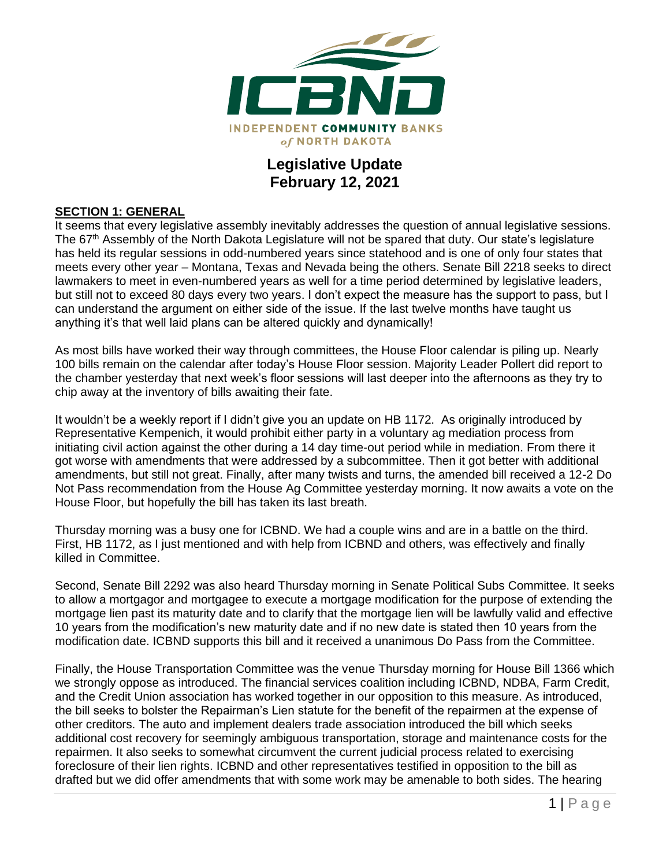

## **Legislative Update February 12, 2021**

#### **SECTION 1: GENERAL**

It seems that every legislative assembly inevitably addresses the question of annual legislative sessions. The 67<sup>th</sup> Assembly of the North Dakota Legislature will not be spared that duty. Our state's legislature has held its regular sessions in odd-numbered years since statehood and is one of only four states that meets every other year – Montana, Texas and Nevada being the others. Senate Bill 2218 seeks to direct lawmakers to meet in even-numbered years as well for a time period determined by legislative leaders, but still not to exceed 80 days every two years. I don't expect the measure has the support to pass, but I can understand the argument on either side of the issue. If the last twelve months have taught us anything it's that well laid plans can be altered quickly and dynamically!

As most bills have worked their way through committees, the House Floor calendar is piling up. Nearly 100 bills remain on the calendar after today's House Floor session. Majority Leader Pollert did report to the chamber yesterday that next week's floor sessions will last deeper into the afternoons as they try to chip away at the inventory of bills awaiting their fate.

It wouldn't be a weekly report if I didn't give you an update on HB 1172. As originally introduced by Representative Kempenich, it would prohibit either party in a voluntary ag mediation process from initiating civil action against the other during a 14 day time-out period while in mediation. From there it got worse with amendments that were addressed by a subcommittee. Then it got better with additional amendments, but still not great. Finally, after many twists and turns, the amended bill received a 12-2 Do Not Pass recommendation from the House Ag Committee yesterday morning. It now awaits a vote on the House Floor, but hopefully the bill has taken its last breath.

Thursday morning was a busy one for ICBND. We had a couple wins and are in a battle on the third. First, HB 1172, as I just mentioned and with help from ICBND and others, was effectively and finally killed in Committee.

Second, Senate Bill 2292 was also heard Thursday morning in Senate Political Subs Committee. It seeks to allow a mortgagor and mortgagee to execute a mortgage modification for the purpose of extending the mortgage lien past its maturity date and to clarify that the mortgage lien will be lawfully valid and effective 10 years from the modification's new maturity date and if no new date is stated then 10 years from the modification date. ICBND supports this bill and it received a unanimous Do Pass from the Committee.

Finally, the House Transportation Committee was the venue Thursday morning for House Bill 1366 which we strongly oppose as introduced. The financial services coalition including ICBND, NDBA, Farm Credit, and the Credit Union association has worked together in our opposition to this measure. As introduced, the bill seeks to bolster the Repairman's Lien statute for the benefit of the repairmen at the expense of other creditors. The auto and implement dealers trade association introduced the bill which seeks additional cost recovery for seemingly ambiguous transportation, storage and maintenance costs for the repairmen. It also seeks to somewhat circumvent the current judicial process related to exercising foreclosure of their lien rights. ICBND and other representatives testified in opposition to the bill as drafted but we did offer amendments that with some work may be amenable to both sides. The hearing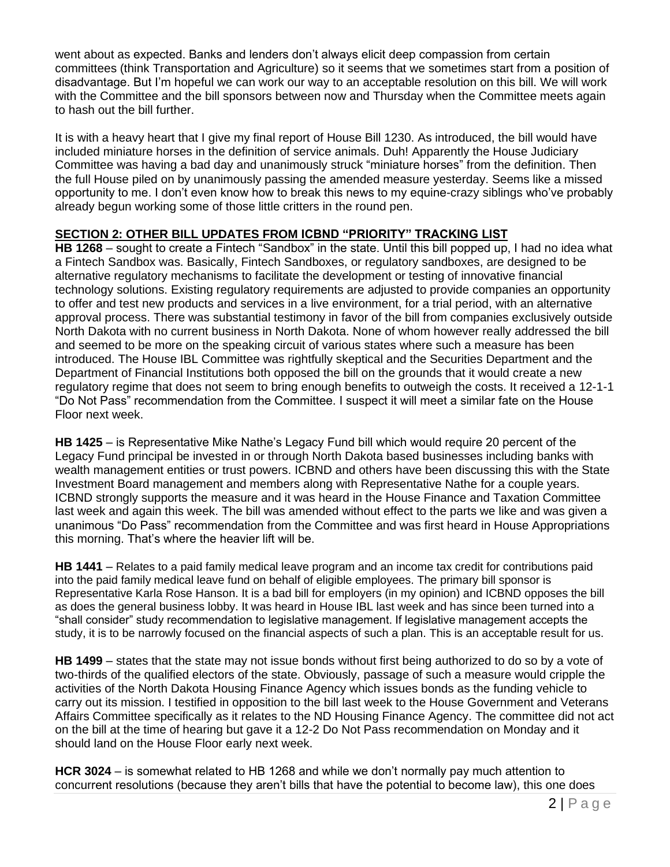went about as expected. Banks and lenders don't always elicit deep compassion from certain committees (think Transportation and Agriculture) so it seems that we sometimes start from a position of disadvantage. But I'm hopeful we can work our way to an acceptable resolution on this bill. We will work with the Committee and the bill sponsors between now and Thursday when the Committee meets again to hash out the bill further.

It is with a heavy heart that I give my final report of House Bill 1230. As introduced, the bill would have included miniature horses in the definition of service animals. Duh! Apparently the House Judiciary Committee was having a bad day and unanimously struck "miniature horses" from the definition. Then the full House piled on by unanimously passing the amended measure yesterday. Seems like a missed opportunity to me. I don't even know how to break this news to my equine-crazy siblings who've probably already begun working some of those little critters in the round pen.

#### **SECTION 2: OTHER BILL UPDATES FROM ICBND "PRIORITY" TRACKING LIST**

**HB 1268** – sought to create a Fintech "Sandbox" in the state. Until this bill popped up, I had no idea what a Fintech Sandbox was. Basically, Fintech Sandboxes, or regulatory sandboxes, are designed to be alternative regulatory mechanisms to facilitate the development or testing of innovative financial technology solutions. Existing regulatory requirements are adjusted to provide companies an opportunity to offer and test new products and services in a live environment, for a trial period, with an alternative approval process. There was substantial testimony in favor of the bill from companies exclusively outside North Dakota with no current business in North Dakota. None of whom however really addressed the bill and seemed to be more on the speaking circuit of various states where such a measure has been introduced. The House IBL Committee was rightfully skeptical and the Securities Department and the Department of Financial Institutions both opposed the bill on the grounds that it would create a new regulatory regime that does not seem to bring enough benefits to outweigh the costs. It received a 12-1-1 "Do Not Pass" recommendation from the Committee. I suspect it will meet a similar fate on the House Floor next week.

**HB 1425** – is Representative Mike Nathe's Legacy Fund bill which would require 20 percent of the Legacy Fund principal be invested in or through North Dakota based businesses including banks with wealth management entities or trust powers. ICBND and others have been discussing this with the State Investment Board management and members along with Representative Nathe for a couple years. ICBND strongly supports the measure and it was heard in the House Finance and Taxation Committee last week and again this week. The bill was amended without effect to the parts we like and was given a unanimous "Do Pass" recommendation from the Committee and was first heard in House Appropriations this morning. That's where the heavier lift will be.

**HB 1441** – Relates to a paid family medical leave program and an income tax credit for contributions paid into the paid family medical leave fund on behalf of eligible employees. The primary bill sponsor is Representative Karla Rose Hanson. It is a bad bill for employers (in my opinion) and ICBND opposes the bill as does the general business lobby. It was heard in House IBL last week and has since been turned into a "shall consider" study recommendation to legislative management. If legislative management accepts the study, it is to be narrowly focused on the financial aspects of such a plan. This is an acceptable result for us.

**HB 1499** – states that the state may not issue bonds without first being authorized to do so by a vote of two-thirds of the qualified electors of the state. Obviously, passage of such a measure would cripple the activities of the North Dakota Housing Finance Agency which issues bonds as the funding vehicle to carry out its mission. I testified in opposition to the bill last week to the House Government and Veterans Affairs Committee specifically as it relates to the ND Housing Finance Agency. The committee did not act on the bill at the time of hearing but gave it a 12-2 Do Not Pass recommendation on Monday and it should land on the House Floor early next week.

**HCR 3024** – is somewhat related to HB 1268 and while we don't normally pay much attention to concurrent resolutions (because they aren't bills that have the potential to become law), this one does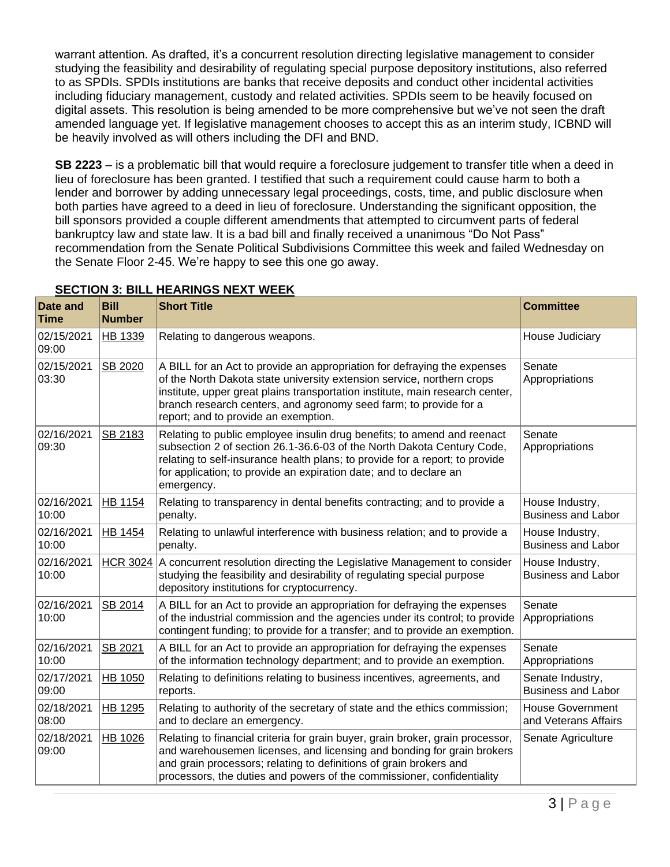warrant attention. As drafted, it's a concurrent resolution directing legislative management to consider studying the feasibility and desirability of regulating special purpose depository institutions, also referred to as SPDIs. SPDIs institutions are banks that receive deposits and conduct other incidental activities including fiduciary management, custody and related activities. SPDIs seem to be heavily focused on digital assets. This resolution is being amended to be more comprehensive but we've not seen the draft amended language yet. If legislative management chooses to accept this as an interim study, ICBND will be heavily involved as will others including the DFI and BND.

**SB 2223** – is a problematic bill that would require a foreclosure judgement to transfer title when a deed in lieu of foreclosure has been granted. I testified that such a requirement could cause harm to both a lender and borrower by adding unnecessary legal proceedings, costs, time, and public disclosure when both parties have agreed to a deed in lieu of foreclosure. Understanding the significant opposition, the bill sponsors provided a couple different amendments that attempted to circumvent parts of federal bankruptcy law and state law. It is a bad bill and finally received a unanimous "Do Not Pass" recommendation from the Senate Political Subdivisions Committee this week and failed Wednesday on the Senate Floor 2-45. We're happy to see this one go away.

| Date and<br>Time    | <b>Bill</b><br><b>Number</b> | <b>Short Title</b>                                                                                                                                                                                                                                                                                                                               | <b>Committee</b>                                |
|---------------------|------------------------------|--------------------------------------------------------------------------------------------------------------------------------------------------------------------------------------------------------------------------------------------------------------------------------------------------------------------------------------------------|-------------------------------------------------|
| 02/15/2021<br>09:00 | HB 1339                      | Relating to dangerous weapons.                                                                                                                                                                                                                                                                                                                   | House Judiciary                                 |
| 02/15/2021<br>03:30 | SB 2020                      | A BILL for an Act to provide an appropriation for defraying the expenses<br>of the North Dakota state university extension service, northern crops<br>institute, upper great plains transportation institute, main research center,<br>branch research centers, and agronomy seed farm; to provide for a<br>report; and to provide an exemption. | Senate<br>Appropriations                        |
| 02/16/2021<br>09:30 | SB 2183                      | Relating to public employee insulin drug benefits; to amend and reenact<br>subsection 2 of section 26.1-36.6-03 of the North Dakota Century Code,<br>relating to self-insurance health plans; to provide for a report; to provide<br>for application; to provide an expiration date; and to declare an<br>emergency.                             | Senate<br>Appropriations                        |
| 02/16/2021<br>10:00 | <b>HB 1154</b>               | Relating to transparency in dental benefits contracting; and to provide a<br>penalty.                                                                                                                                                                                                                                                            | House Industry,<br><b>Business and Labor</b>    |
| 02/16/2021<br>10:00 | HB 1454                      | Relating to unlawful interference with business relation; and to provide a<br>penalty.                                                                                                                                                                                                                                                           | House Industry,<br><b>Business and Labor</b>    |
| 02/16/2021<br>10:00 | <b>HCR 3024</b>              | A concurrent resolution directing the Legislative Management to consider<br>studying the feasibility and desirability of regulating special purpose<br>depository institutions for cryptocurrency.                                                                                                                                               | House Industry,<br><b>Business and Labor</b>    |
| 02/16/2021<br>10:00 | SB 2014                      | A BILL for an Act to provide an appropriation for defraying the expenses<br>of the industrial commission and the agencies under its control; to provide<br>contingent funding; to provide for a transfer; and to provide an exemption.                                                                                                           | Senate<br>Appropriations                        |
| 02/16/2021<br>10:00 | SB 2021                      | A BILL for an Act to provide an appropriation for defraying the expenses<br>of the information technology department; and to provide an exemption.                                                                                                                                                                                               | Senate<br>Appropriations                        |
| 02/17/2021<br>09:00 | HB 1050                      | Relating to definitions relating to business incentives, agreements, and<br>reports.                                                                                                                                                                                                                                                             | Senate Industry,<br><b>Business and Labor</b>   |
| 02/18/2021<br>08:00 | HB 1295                      | Relating to authority of the secretary of state and the ethics commission;<br>and to declare an emergency.                                                                                                                                                                                                                                       | <b>House Government</b><br>and Veterans Affairs |
| 02/18/2021<br>09:00 | HB 1026                      | Relating to financial criteria for grain buyer, grain broker, grain processor,<br>and warehousemen licenses, and licensing and bonding for grain brokers<br>and grain processors; relating to definitions of grain brokers and<br>processors, the duties and powers of the commissioner, confidentiality                                         | Senate Agriculture                              |

### **SECTION 3: BILL HEARINGS NEXT WEEK**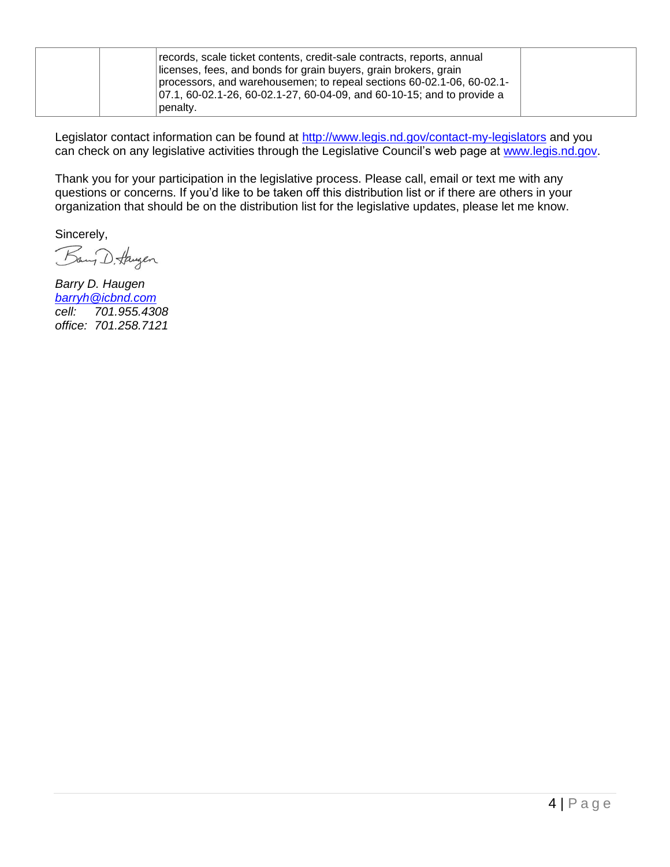| records, scale ticket contents, credit-sale contracts, reports, annual<br>licenses, fees, and bonds for grain buyers, grain brokers, grain<br>processors, and warehousemen; to repeal sections 60-02.1-06, 60-02.1-<br>$ 07.1, 60-02.1-26, 60-02.1-27, 60-04-09,$ and 60-10-15; and to provide a<br>penalty. |
|--------------------------------------------------------------------------------------------------------------------------------------------------------------------------------------------------------------------------------------------------------------------------------------------------------------|
|--------------------------------------------------------------------------------------------------------------------------------------------------------------------------------------------------------------------------------------------------------------------------------------------------------------|

Legislator contact information can be found at<http://www.legis.nd.gov/contact-my-legislators> and you can check on any legislative activities through the Legislative Council's web page at [www.legis.nd.gov.](http://www.legis.nd.gov/)

Thank you for your participation in the legislative process. Please call, email or text me with any questions or concerns. If you'd like to be taken off this distribution list or if there are others in your organization that should be on the distribution list for the legislative updates, please let me know.

Sincerely,

Bang D. Haugen

*Barry D. Haugen [barryh@icbnd.com](mailto:barryh@icbnd.com) cell: 701.955.4308 office: 701.258.7121*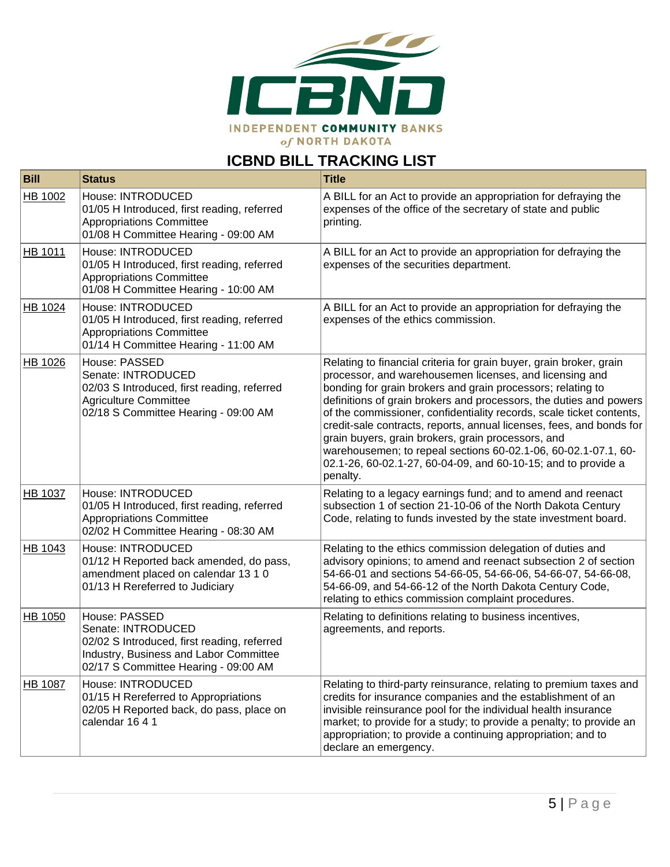

# **ICBND BILL TRACKING LIST**

| <b>Bill</b> | <b>Status</b>                                                                                                                                                        | <b>Title</b>                                                                                                                                                                                                                                                                                                                                                                                                                                                                                                                                                                                                             |
|-------------|----------------------------------------------------------------------------------------------------------------------------------------------------------------------|--------------------------------------------------------------------------------------------------------------------------------------------------------------------------------------------------------------------------------------------------------------------------------------------------------------------------------------------------------------------------------------------------------------------------------------------------------------------------------------------------------------------------------------------------------------------------------------------------------------------------|
| HB 1002     | House: INTRODUCED<br>01/05 H Introduced, first reading, referred<br><b>Appropriations Committee</b><br>01/08 H Committee Hearing - 09:00 AM                          | A BILL for an Act to provide an appropriation for defraying the<br>expenses of the office of the secretary of state and public<br>printing.                                                                                                                                                                                                                                                                                                                                                                                                                                                                              |
| HB 1011     | House: INTRODUCED<br>01/05 H Introduced, first reading, referred<br><b>Appropriations Committee</b><br>01/08 H Committee Hearing - 10:00 AM                          | A BILL for an Act to provide an appropriation for defraying the<br>expenses of the securities department.                                                                                                                                                                                                                                                                                                                                                                                                                                                                                                                |
| HB 1024     | House: INTRODUCED<br>01/05 H Introduced, first reading, referred<br><b>Appropriations Committee</b><br>01/14 H Committee Hearing - 11:00 AM                          | A BILL for an Act to provide an appropriation for defraying the<br>expenses of the ethics commission.                                                                                                                                                                                                                                                                                                                                                                                                                                                                                                                    |
| HB 1026     | House: PASSED<br>Senate: INTRODUCED<br>02/03 S Introduced, first reading, referred<br><b>Agriculture Committee</b><br>02/18 S Committee Hearing - 09:00 AM           | Relating to financial criteria for grain buyer, grain broker, grain<br>processor, and warehousemen licenses, and licensing and<br>bonding for grain brokers and grain processors; relating to<br>definitions of grain brokers and processors, the duties and powers<br>of the commissioner, confidentiality records, scale ticket contents,<br>credit-sale contracts, reports, annual licenses, fees, and bonds for<br>grain buyers, grain brokers, grain processors, and<br>warehousemen; to repeal sections 60-02.1-06, 60-02.1-07.1, 60-<br>02.1-26, 60-02.1-27, 60-04-09, and 60-10-15; and to provide a<br>penalty. |
| HB 1037     | House: INTRODUCED<br>01/05 H Introduced, first reading, referred<br><b>Appropriations Committee</b><br>02/02 H Committee Hearing - 08:30 AM                          | Relating to a legacy earnings fund; and to amend and reenact<br>subsection 1 of section 21-10-06 of the North Dakota Century<br>Code, relating to funds invested by the state investment board.                                                                                                                                                                                                                                                                                                                                                                                                                          |
| HB 1043     | House: INTRODUCED<br>01/12 H Reported back amended, do pass,<br>amendment placed on calendar 13 1 0<br>01/13 H Rereferred to Judiciary                               | Relating to the ethics commission delegation of duties and<br>advisory opinions; to amend and reenact subsection 2 of section<br>54-66-01 and sections 54-66-05, 54-66-06, 54-66-07, 54-66-08,<br>54-66-09, and 54-66-12 of the North Dakota Century Code,<br>relating to ethics commission complaint procedures.                                                                                                                                                                                                                                                                                                        |
| HB 1050     | House: PASSED<br>Senate: INTRODUCED<br>02/02 S Introduced, first reading, referred<br>Industry, Business and Labor Committee<br>02/17 S Committee Hearing - 09:00 AM | Relating to definitions relating to business incentives,<br>agreements, and reports.                                                                                                                                                                                                                                                                                                                                                                                                                                                                                                                                     |
| HB 1087     | House: INTRODUCED<br>01/15 H Rereferred to Appropriations<br>02/05 H Reported back, do pass, place on<br>calendar 1641                                               | Relating to third-party reinsurance, relating to premium taxes and<br>credits for insurance companies and the establishment of an<br>invisible reinsurance pool for the individual health insurance<br>market; to provide for a study; to provide a penalty; to provide an<br>appropriation; to provide a continuing appropriation; and to<br>declare an emergency.                                                                                                                                                                                                                                                      |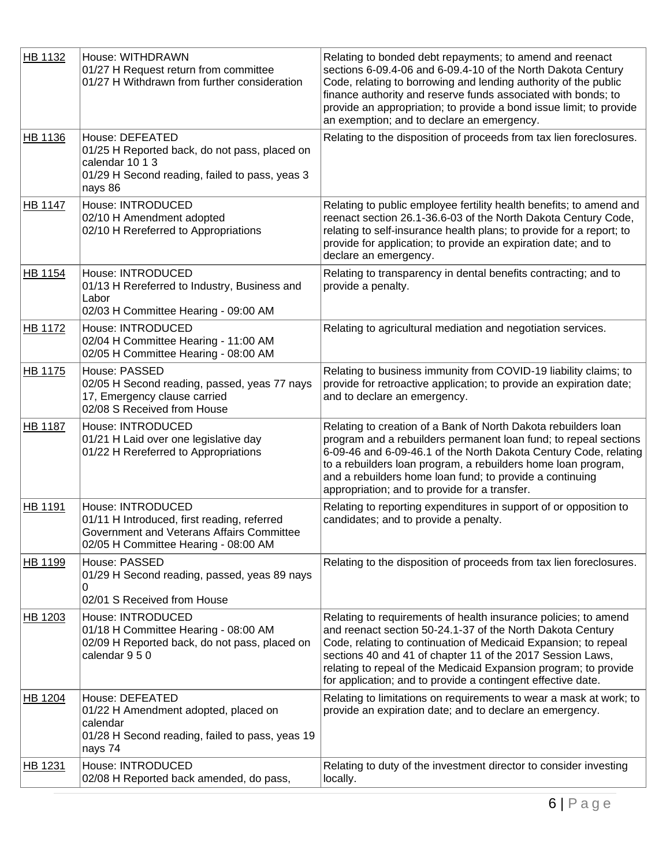| HB 1132        | House: WITHDRAWN<br>01/27 H Request return from committee<br>01/27 H Withdrawn from further consideration                                             | Relating to bonded debt repayments; to amend and reenact<br>sections 6-09.4-06 and 6-09.4-10 of the North Dakota Century<br>Code, relating to borrowing and lending authority of the public<br>finance authority and reserve funds associated with bonds; to<br>provide an appropriation; to provide a bond issue limit; to provide<br>an exemption; and to declare an emergency.                  |
|----------------|-------------------------------------------------------------------------------------------------------------------------------------------------------|----------------------------------------------------------------------------------------------------------------------------------------------------------------------------------------------------------------------------------------------------------------------------------------------------------------------------------------------------------------------------------------------------|
| HB 1136        | House: DEFEATED<br>01/25 H Reported back, do not pass, placed on<br>calendar 10 1 3<br>01/29 H Second reading, failed to pass, yeas 3<br>nays 86      | Relating to the disposition of proceeds from tax lien foreclosures.                                                                                                                                                                                                                                                                                                                                |
| <b>HB 1147</b> | House: INTRODUCED<br>02/10 H Amendment adopted<br>02/10 H Rereferred to Appropriations                                                                | Relating to public employee fertility health benefits; to amend and<br>reenact section 26.1-36.6-03 of the North Dakota Century Code,<br>relating to self-insurance health plans; to provide for a report; to<br>provide for application; to provide an expiration date; and to<br>declare an emergency.                                                                                           |
| <b>HB 1154</b> | House: INTRODUCED<br>01/13 H Rereferred to Industry, Business and<br>Labor<br>02/03 H Committee Hearing - 09:00 AM                                    | Relating to transparency in dental benefits contracting; and to<br>provide a penalty.                                                                                                                                                                                                                                                                                                              |
| HB 1172        | House: INTRODUCED<br>02/04 H Committee Hearing - 11:00 AM<br>02/05 H Committee Hearing - 08:00 AM                                                     | Relating to agricultural mediation and negotiation services.                                                                                                                                                                                                                                                                                                                                       |
| HB 1175        | House: PASSED<br>02/05 H Second reading, passed, yeas 77 nays<br>17, Emergency clause carried<br>02/08 S Received from House                          | Relating to business immunity from COVID-19 liability claims; to<br>provide for retroactive application; to provide an expiration date;<br>and to declare an emergency.                                                                                                                                                                                                                            |
| <b>HB 1187</b> | House: INTRODUCED<br>01/21 H Laid over one legislative day<br>01/22 H Rereferred to Appropriations                                                    | Relating to creation of a Bank of North Dakota rebuilders loan<br>program and a rebuilders permanent loan fund; to repeal sections<br>6-09-46 and 6-09-46.1 of the North Dakota Century Code, relating<br>to a rebuilders loan program, a rebuilders home loan program,<br>and a rebuilders home loan fund; to provide a continuing<br>appropriation; and to provide for a transfer.               |
| HB 1191        | House: INTRODUCED<br>01/11 H Introduced, first reading, referred<br>Government and Veterans Affairs Committee<br>02/05 H Committee Hearing - 08:00 AM | Relating to reporting expenditures in support of or opposition to<br>candidates; and to provide a penalty.                                                                                                                                                                                                                                                                                         |
| HB 1199        | House: PASSED<br>01/29 H Second reading, passed, yeas 89 nays<br>0<br>02/01 S Received from House                                                     | Relating to the disposition of proceeds from tax lien foreclosures.                                                                                                                                                                                                                                                                                                                                |
| HB 1203        | House: INTRODUCED<br>01/18 H Committee Hearing - 08:00 AM<br>02/09 H Reported back, do not pass, placed on<br>calendar 9 5 0                          | Relating to requirements of health insurance policies; to amend<br>and reenact section 50-24.1-37 of the North Dakota Century<br>Code, relating to continuation of Medicaid Expansion; to repeal<br>sections 40 and 41 of chapter 11 of the 2017 Session Laws,<br>relating to repeal of the Medicaid Expansion program; to provide<br>for application; and to provide a contingent effective date. |
| HB 1204        | House: DEFEATED<br>01/22 H Amendment adopted, placed on<br>calendar<br>01/28 H Second reading, failed to pass, yeas 19<br>nays 74                     | Relating to limitations on requirements to wear a mask at work; to<br>provide an expiration date; and to declare an emergency.                                                                                                                                                                                                                                                                     |
| HB 1231        | House: INTRODUCED<br>02/08 H Reported back amended, do pass,                                                                                          | Relating to duty of the investment director to consider investing<br>locally.                                                                                                                                                                                                                                                                                                                      |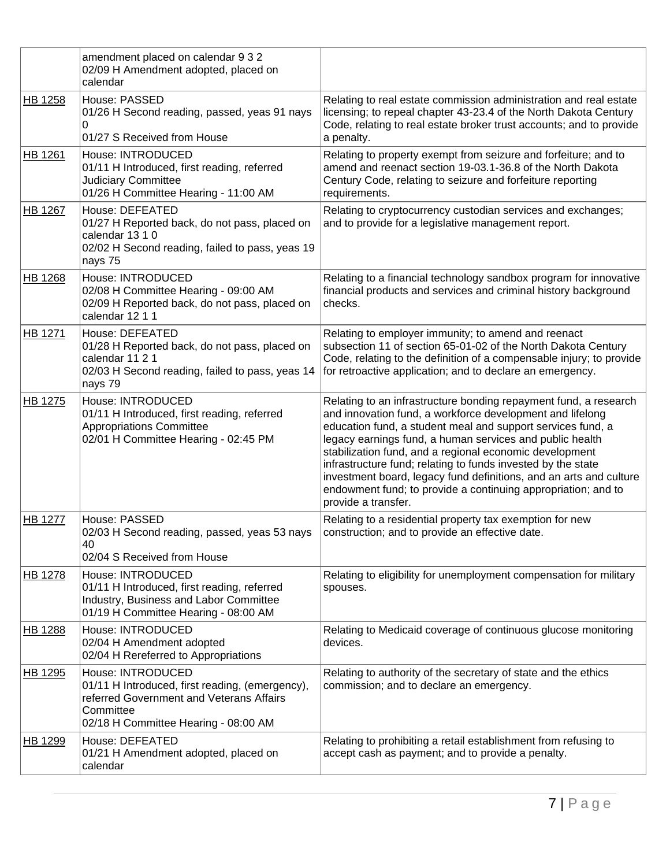|                | amendment placed on calendar 9 3 2<br>02/09 H Amendment adopted, placed on<br>calendar                                                                                |                                                                                                                                                                                                                                                                                                                                                                                                                                                                                                                                                   |
|----------------|-----------------------------------------------------------------------------------------------------------------------------------------------------------------------|---------------------------------------------------------------------------------------------------------------------------------------------------------------------------------------------------------------------------------------------------------------------------------------------------------------------------------------------------------------------------------------------------------------------------------------------------------------------------------------------------------------------------------------------------|
| HB 1258        | House: PASSED<br>01/26 H Second reading, passed, yeas 91 nays<br>0<br>01/27 S Received from House                                                                     | Relating to real estate commission administration and real estate<br>licensing; to repeal chapter 43-23.4 of the North Dakota Century<br>Code, relating to real estate broker trust accounts; and to provide<br>a penalty.                                                                                                                                                                                                                                                                                                                        |
| HB 1261        | House: INTRODUCED<br>01/11 H Introduced, first reading, referred<br><b>Judiciary Committee</b><br>01/26 H Committee Hearing - 11:00 AM                                | Relating to property exempt from seizure and forfeiture; and to<br>amend and reenact section 19-03.1-36.8 of the North Dakota<br>Century Code, relating to seizure and forfeiture reporting<br>requirements.                                                                                                                                                                                                                                                                                                                                      |
| <b>HB 1267</b> | House: DEFEATED<br>01/27 H Reported back, do not pass, placed on<br>calendar 13 1 0<br>02/02 H Second reading, failed to pass, yeas 19<br>nays 75                     | Relating to cryptocurrency custodian services and exchanges;<br>and to provide for a legislative management report.                                                                                                                                                                                                                                                                                                                                                                                                                               |
| <b>HB 1268</b> | House: INTRODUCED<br>02/08 H Committee Hearing - 09:00 AM<br>02/09 H Reported back, do not pass, placed on<br>calendar 12 1 1                                         | Relating to a financial technology sandbox program for innovative<br>financial products and services and criminal history background<br>checks.                                                                                                                                                                                                                                                                                                                                                                                                   |
| HB 1271        | House: DEFEATED<br>01/28 H Reported back, do not pass, placed on<br>calendar 11 2 1<br>02/03 H Second reading, failed to pass, yeas 14<br>nays 79                     | Relating to employer immunity; to amend and reenact<br>subsection 11 of section 65-01-02 of the North Dakota Century<br>Code, relating to the definition of a compensable injury; to provide<br>for retroactive application; and to declare an emergency.                                                                                                                                                                                                                                                                                         |
| <b>HB 1275</b> | House: INTRODUCED<br>01/11 H Introduced, first reading, referred<br><b>Appropriations Committee</b><br>02/01 H Committee Hearing - 02:45 PM                           | Relating to an infrastructure bonding repayment fund, a research<br>and innovation fund, a workforce development and lifelong<br>education fund, a student meal and support services fund, a<br>legacy earnings fund, a human services and public health<br>stabilization fund, and a regional economic development<br>infrastructure fund; relating to funds invested by the state<br>investment board, legacy fund definitions, and an arts and culture<br>endowment fund; to provide a continuing appropriation; and to<br>provide a transfer. |
| <b>HB 1277</b> | House: PASSED<br>02/03 H Second reading, passed, yeas 53 nays<br>40<br>02/04 S Received from House                                                                    | Relating to a residential property tax exemption for new<br>construction; and to provide an effective date.                                                                                                                                                                                                                                                                                                                                                                                                                                       |
| <b>HB 1278</b> | House: INTRODUCED<br>01/11 H Introduced, first reading, referred<br>Industry, Business and Labor Committee<br>01/19 H Committee Hearing - 08:00 AM                    | Relating to eligibility for unemployment compensation for military<br>spouses.                                                                                                                                                                                                                                                                                                                                                                                                                                                                    |
| HB 1288        | House: INTRODUCED<br>02/04 H Amendment adopted<br>02/04 H Rereferred to Appropriations                                                                                | Relating to Medicaid coverage of continuous glucose monitoring<br>devices.                                                                                                                                                                                                                                                                                                                                                                                                                                                                        |
| HB 1295        | House: INTRODUCED<br>01/11 H Introduced, first reading, (emergency),<br>referred Government and Veterans Affairs<br>Committee<br>02/18 H Committee Hearing - 08:00 AM | Relating to authority of the secretary of state and the ethics<br>commission; and to declare an emergency.                                                                                                                                                                                                                                                                                                                                                                                                                                        |
| HB 1299        | House: DEFEATED<br>01/21 H Amendment adopted, placed on<br>calendar                                                                                                   | Relating to prohibiting a retail establishment from refusing to<br>accept cash as payment; and to provide a penalty.                                                                                                                                                                                                                                                                                                                                                                                                                              |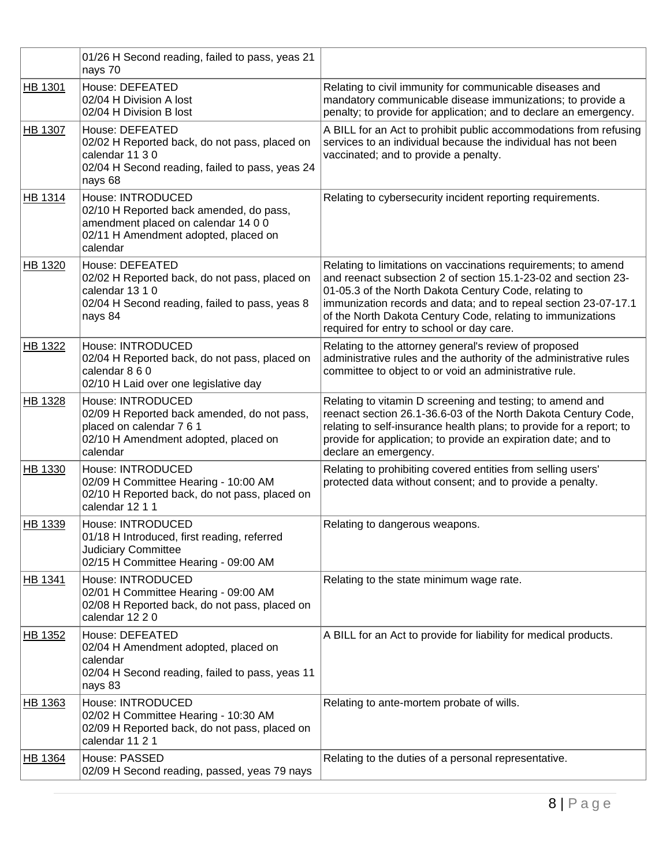|                | 01/26 H Second reading, failed to pass, yeas 21<br>nays 70                                                                                              |                                                                                                                                                                                                                                                                                                                                                                          |
|----------------|---------------------------------------------------------------------------------------------------------------------------------------------------------|--------------------------------------------------------------------------------------------------------------------------------------------------------------------------------------------------------------------------------------------------------------------------------------------------------------------------------------------------------------------------|
| HB 1301        | House: DEFEATED<br>02/04 H Division A lost<br>02/04 H Division B lost                                                                                   | Relating to civil immunity for communicable diseases and<br>mandatory communicable disease immunizations; to provide a<br>penalty; to provide for application; and to declare an emergency.                                                                                                                                                                              |
| <b>HB 1307</b> | House: DEFEATED<br>02/02 H Reported back, do not pass, placed on<br>calendar 11 3 0<br>02/04 H Second reading, failed to pass, yeas 24<br>nays 68       | A BILL for an Act to prohibit public accommodations from refusing<br>services to an individual because the individual has not been<br>vaccinated; and to provide a penalty.                                                                                                                                                                                              |
| <b>HB 1314</b> | House: INTRODUCED<br>02/10 H Reported back amended, do pass,<br>amendment placed on calendar 14 0 0<br>02/11 H Amendment adopted, placed on<br>calendar | Relating to cybersecurity incident reporting requirements.                                                                                                                                                                                                                                                                                                               |
| HB 1320        | House: DEFEATED<br>02/02 H Reported back, do not pass, placed on<br>calendar 13 1 0<br>02/04 H Second reading, failed to pass, yeas 8<br>nays 84        | Relating to limitations on vaccinations requirements; to amend<br>and reenact subsection 2 of section 15.1-23-02 and section 23-<br>01-05.3 of the North Dakota Century Code, relating to<br>immunization records and data; and to repeal section 23-07-17.1<br>of the North Dakota Century Code, relating to immunizations<br>required for entry to school or day care. |
| HB 1322        | House: INTRODUCED<br>02/04 H Reported back, do not pass, placed on<br>calendar 8 6 0<br>02/10 H Laid over one legislative day                           | Relating to the attorney general's review of proposed<br>administrative rules and the authority of the administrative rules<br>committee to object to or void an administrative rule.                                                                                                                                                                                    |
| HB 1328        | House: INTRODUCED<br>02/09 H Reported back amended, do not pass,<br>placed on calendar 7 6 1<br>02/10 H Amendment adopted, placed on<br>calendar        | Relating to vitamin D screening and testing; to amend and<br>reenact section 26.1-36.6-03 of the North Dakota Century Code,<br>relating to self-insurance health plans; to provide for a report; to<br>provide for application; to provide an expiration date; and to<br>declare an emergency.                                                                           |
| HB 1330        | House: INTRODUCED<br>02/09 H Committee Hearing - 10:00 AM<br>02/10 H Reported back, do not pass, placed on<br>calendar 12 1 1                           | Relating to prohibiting covered entities from selling users'<br>protected data without consent; and to provide a penalty.                                                                                                                                                                                                                                                |
| HB 1339        | House: INTRODUCED<br>01/18 H Introduced, first reading, referred<br><b>Judiciary Committee</b><br>02/15 H Committee Hearing - 09:00 AM                  | Relating to dangerous weapons.                                                                                                                                                                                                                                                                                                                                           |
| HB 1341        | House: INTRODUCED<br>02/01 H Committee Hearing - 09:00 AM<br>02/08 H Reported back, do not pass, placed on<br>calendar 12 2 0                           | Relating to the state minimum wage rate.                                                                                                                                                                                                                                                                                                                                 |
| HB 1352        | House: DEFEATED<br>02/04 H Amendment adopted, placed on<br>calendar<br>02/04 H Second reading, failed to pass, yeas 11<br>nays 83                       | A BILL for an Act to provide for liability for medical products.                                                                                                                                                                                                                                                                                                         |
| HB 1363        | House: INTRODUCED<br>02/02 H Committee Hearing - 10:30 AM<br>02/09 H Reported back, do not pass, placed on<br>calendar 11 2 1                           | Relating to ante-mortem probate of wills.                                                                                                                                                                                                                                                                                                                                |
| HB 1364        | House: PASSED<br>02/09 H Second reading, passed, yeas 79 nays                                                                                           | Relating to the duties of a personal representative.                                                                                                                                                                                                                                                                                                                     |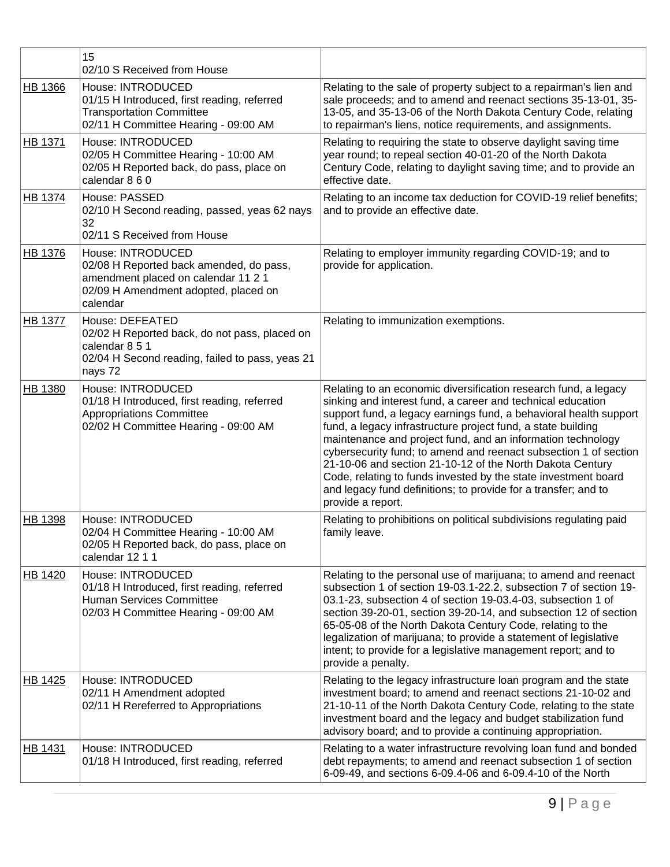|                | 15<br>02/10 S Received from House                                                                                                                       |                                                                                                                                                                                                                                                                                                                                                                                                                                                                                                                                                                                                                              |
|----------------|---------------------------------------------------------------------------------------------------------------------------------------------------------|------------------------------------------------------------------------------------------------------------------------------------------------------------------------------------------------------------------------------------------------------------------------------------------------------------------------------------------------------------------------------------------------------------------------------------------------------------------------------------------------------------------------------------------------------------------------------------------------------------------------------|
| HB 1366        | House: INTRODUCED<br>01/15 H Introduced, first reading, referred<br><b>Transportation Committee</b><br>02/11 H Committee Hearing - 09:00 AM             | Relating to the sale of property subject to a repairman's lien and<br>sale proceeds; and to amend and reenact sections 35-13-01, 35-<br>13-05, and 35-13-06 of the North Dakota Century Code, relating<br>to repairman's liens, notice requirements, and assignments.                                                                                                                                                                                                                                                                                                                                                        |
| <b>HB 1371</b> | House: INTRODUCED<br>02/05 H Committee Hearing - 10:00 AM<br>02/05 H Reported back, do pass, place on<br>calendar 8 6 0                                 | Relating to requiring the state to observe daylight saving time<br>year round; to repeal section 40-01-20 of the North Dakota<br>Century Code, relating to daylight saving time; and to provide an<br>effective date.                                                                                                                                                                                                                                                                                                                                                                                                        |
| HB 1374        | House: PASSED<br>02/10 H Second reading, passed, yeas 62 nays<br>32<br>02/11 S Received from House                                                      | Relating to an income tax deduction for COVID-19 relief benefits;<br>and to provide an effective date.                                                                                                                                                                                                                                                                                                                                                                                                                                                                                                                       |
| HB 1376        | House: INTRODUCED<br>02/08 H Reported back amended, do pass,<br>amendment placed on calendar 11 2 1<br>02/09 H Amendment adopted, placed on<br>calendar | Relating to employer immunity regarding COVID-19; and to<br>provide for application.                                                                                                                                                                                                                                                                                                                                                                                                                                                                                                                                         |
| <b>HB 1377</b> | House: DEFEATED<br>02/02 H Reported back, do not pass, placed on<br>calendar 8 5 1<br>02/04 H Second reading, failed to pass, yeas 21<br>nays 72        | Relating to immunization exemptions.                                                                                                                                                                                                                                                                                                                                                                                                                                                                                                                                                                                         |
| HB 1380        | House: INTRODUCED<br>01/18 H Introduced, first reading, referred<br><b>Appropriations Committee</b><br>02/02 H Committee Hearing - 09:00 AM             | Relating to an economic diversification research fund, a legacy<br>sinking and interest fund, a career and technical education<br>support fund, a legacy earnings fund, a behavioral health support<br>fund, a legacy infrastructure project fund, a state building<br>maintenance and project fund, and an information technology<br>cybersecurity fund; to amend and reenact subsection 1 of section<br>21-10-06 and section 21-10-12 of the North Dakota Century<br>Code, relating to funds invested by the state investment board<br>and legacy fund definitions; to provide for a transfer; and to<br>provide a report. |
| HB 1398        | House: INTRODUCED<br>02/04 H Committee Hearing - 10:00 AM<br>02/05 H Reported back, do pass, place on<br>calendar 12 1 1                                | Relating to prohibitions on political subdivisions regulating paid<br>family leave.                                                                                                                                                                                                                                                                                                                                                                                                                                                                                                                                          |
| HB 1420        | House: INTRODUCED<br>01/18 H Introduced, first reading, referred<br><b>Human Services Committee</b><br>02/03 H Committee Hearing - 09:00 AM             | Relating to the personal use of marijuana; to amend and reenact<br>subsection 1 of section 19-03.1-22.2, subsection 7 of section 19-<br>03.1-23, subsection 4 of section 19-03.4-03, subsection 1 of<br>section 39-20-01, section 39-20-14, and subsection 12 of section<br>65-05-08 of the North Dakota Century Code, relating to the<br>legalization of marijuana; to provide a statement of legislative<br>intent; to provide for a legislative management report; and to<br>provide a penalty.                                                                                                                           |
| HB 1425        | House: INTRODUCED<br>02/11 H Amendment adopted<br>02/11 H Rereferred to Appropriations                                                                  | Relating to the legacy infrastructure loan program and the state<br>investment board; to amend and reenact sections 21-10-02 and<br>21-10-11 of the North Dakota Century Code, relating to the state<br>investment board and the legacy and budget stabilization fund<br>advisory board; and to provide a continuing appropriation.                                                                                                                                                                                                                                                                                          |
| <b>HB 1431</b> | House: INTRODUCED<br>01/18 H Introduced, first reading, referred                                                                                        | Relating to a water infrastructure revolving loan fund and bonded<br>debt repayments; to amend and reenact subsection 1 of section<br>6-09-49, and sections 6-09.4-06 and 6-09.4-10 of the North                                                                                                                                                                                                                                                                                                                                                                                                                             |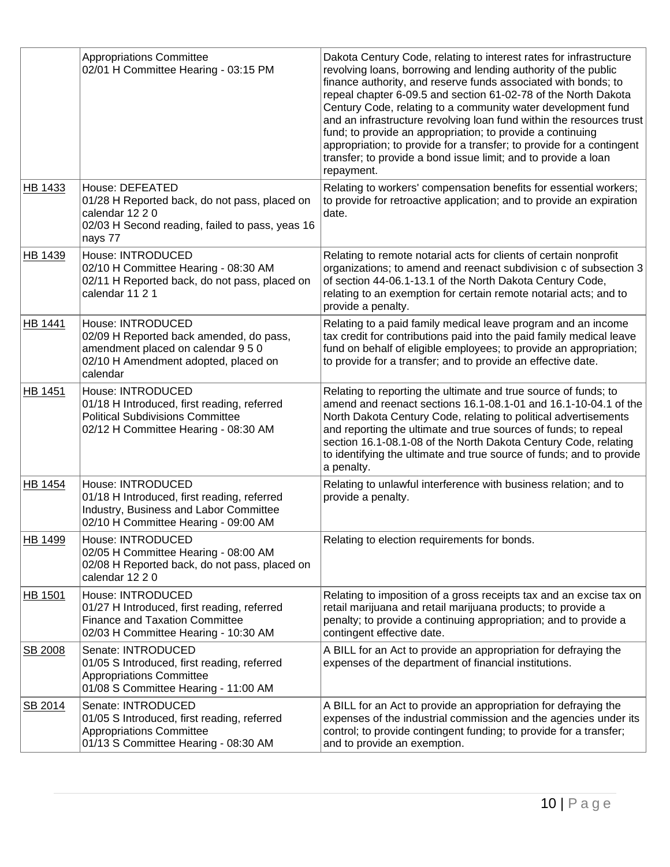|                | <b>Appropriations Committee</b><br>02/01 H Committee Hearing - 03:15 PM                                                                                | Dakota Century Code, relating to interest rates for infrastructure<br>revolving loans, borrowing and lending authority of the public<br>finance authority, and reserve funds associated with bonds; to<br>repeal chapter 6-09.5 and section 61-02-78 of the North Dakota<br>Century Code, relating to a community water development fund<br>and an infrastructure revolving loan fund within the resources trust<br>fund; to provide an appropriation; to provide a continuing<br>appropriation; to provide for a transfer; to provide for a contingent<br>transfer; to provide a bond issue limit; and to provide a loan<br>repayment. |
|----------------|--------------------------------------------------------------------------------------------------------------------------------------------------------|-----------------------------------------------------------------------------------------------------------------------------------------------------------------------------------------------------------------------------------------------------------------------------------------------------------------------------------------------------------------------------------------------------------------------------------------------------------------------------------------------------------------------------------------------------------------------------------------------------------------------------------------|
| HB 1433        | House: DEFEATED<br>01/28 H Reported back, do not pass, placed on<br>calendar 12 2 0<br>02/03 H Second reading, failed to pass, yeas 16<br>nays 77      | Relating to workers' compensation benefits for essential workers;<br>to provide for retroactive application; and to provide an expiration<br>date.                                                                                                                                                                                                                                                                                                                                                                                                                                                                                      |
| HB 1439        | House: INTRODUCED<br>02/10 H Committee Hearing - 08:30 AM<br>02/11 H Reported back, do not pass, placed on<br>calendar 11 2 1                          | Relating to remote notarial acts for clients of certain nonprofit<br>organizations; to amend and reenact subdivision c of subsection 3<br>of section 44-06.1-13.1 of the North Dakota Century Code,<br>relating to an exemption for certain remote notarial acts; and to<br>provide a penalty.                                                                                                                                                                                                                                                                                                                                          |
| <b>HB 1441</b> | House: INTRODUCED<br>02/09 H Reported back amended, do pass,<br>amendment placed on calendar 9 5 0<br>02/10 H Amendment adopted, placed on<br>calendar | Relating to a paid family medical leave program and an income<br>tax credit for contributions paid into the paid family medical leave<br>fund on behalf of eligible employees; to provide an appropriation;<br>to provide for a transfer; and to provide an effective date.                                                                                                                                                                                                                                                                                                                                                             |
| HB 1451        | House: INTRODUCED<br>01/18 H Introduced, first reading, referred<br><b>Political Subdivisions Committee</b><br>02/12 H Committee Hearing - 08:30 AM    | Relating to reporting the ultimate and true source of funds; to<br>amend and reenact sections 16.1-08.1-01 and 16.1-10-04.1 of the<br>North Dakota Century Code, relating to political advertisements<br>and reporting the ultimate and true sources of funds; to repeal<br>section 16.1-08.1-08 of the North Dakota Century Code, relating<br>to identifying the ultimate and true source of funds; and to provide<br>a penalty.                                                                                                                                                                                                       |
| HB 1454        | House: INTRODUCED<br>01/18 H Introduced, first reading, referred<br>Industry, Business and Labor Committee<br>02/10 H Committee Hearing - 09:00 AM     | Relating to unlawful interference with business relation; and to<br>provide a penalty.                                                                                                                                                                                                                                                                                                                                                                                                                                                                                                                                                  |
| HB 1499        | House: INTRODUCED<br>02/05 H Committee Hearing - 08:00 AM<br>02/08 H Reported back, do not pass, placed on<br>calendar 12 2 0                          | Relating to election requirements for bonds.                                                                                                                                                                                                                                                                                                                                                                                                                                                                                                                                                                                            |
| HB 1501        | House: INTRODUCED<br>01/27 H Introduced, first reading, referred<br><b>Finance and Taxation Committee</b><br>02/03 H Committee Hearing - 10:30 AM      | Relating to imposition of a gross receipts tax and an excise tax on<br>retail marijuana and retail marijuana products; to provide a<br>penalty; to provide a continuing appropriation; and to provide a<br>contingent effective date.                                                                                                                                                                                                                                                                                                                                                                                                   |
| SB 2008        | Senate: INTRODUCED<br>01/05 S Introduced, first reading, referred<br><b>Appropriations Committee</b><br>01/08 S Committee Hearing - 11:00 AM           | A BILL for an Act to provide an appropriation for defraying the<br>expenses of the department of financial institutions.                                                                                                                                                                                                                                                                                                                                                                                                                                                                                                                |
| SB 2014        | Senate: INTRODUCED<br>01/05 S Introduced, first reading, referred<br><b>Appropriations Committee</b><br>01/13 S Committee Hearing - 08:30 AM           | A BILL for an Act to provide an appropriation for defraying the<br>expenses of the industrial commission and the agencies under its<br>control; to provide contingent funding; to provide for a transfer;<br>and to provide an exemption.                                                                                                                                                                                                                                                                                                                                                                                               |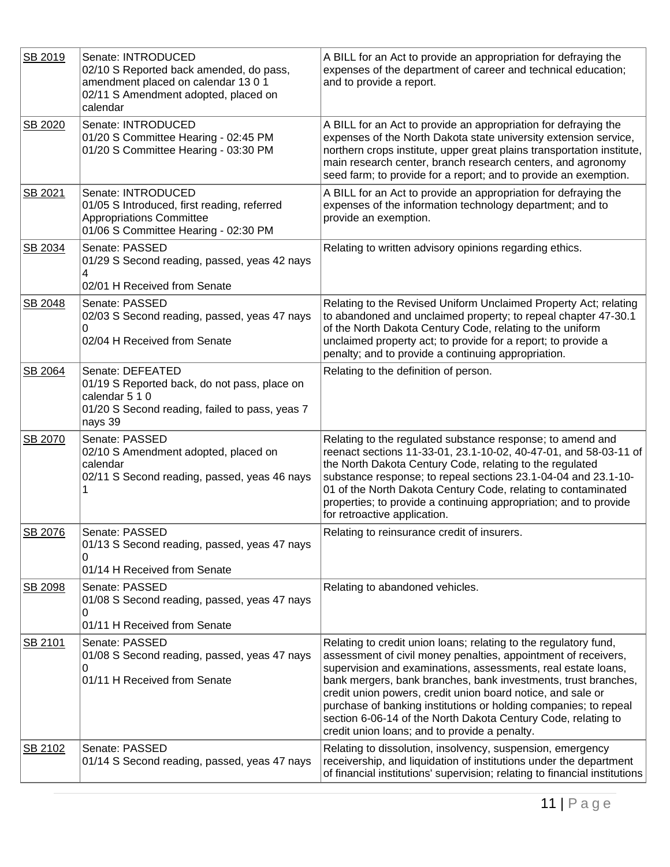| SB 2019 | Senate: INTRODUCED<br>02/10 S Reported back amended, do pass,<br>amendment placed on calendar 13 0 1<br>02/11 S Amendment adopted, placed on<br>calendar | A BILL for an Act to provide an appropriation for defraying the<br>expenses of the department of career and technical education;<br>and to provide a report.                                                                                                                                                                                                                                                                                                                                                               |
|---------|----------------------------------------------------------------------------------------------------------------------------------------------------------|----------------------------------------------------------------------------------------------------------------------------------------------------------------------------------------------------------------------------------------------------------------------------------------------------------------------------------------------------------------------------------------------------------------------------------------------------------------------------------------------------------------------------|
| SB 2020 | Senate: INTRODUCED<br>01/20 S Committee Hearing - 02:45 PM<br>01/20 S Committee Hearing - 03:30 PM                                                       | A BILL for an Act to provide an appropriation for defraying the<br>expenses of the North Dakota state university extension service,<br>northern crops institute, upper great plains transportation institute,<br>main research center, branch research centers, and agronomy<br>seed farm; to provide for a report; and to provide an exemption.                                                                                                                                                                           |
| SB 2021 | Senate: INTRODUCED<br>01/05 S Introduced, first reading, referred<br><b>Appropriations Committee</b><br>01/06 S Committee Hearing - 02:30 PM             | A BILL for an Act to provide an appropriation for defraying the<br>expenses of the information technology department; and to<br>provide an exemption.                                                                                                                                                                                                                                                                                                                                                                      |
| SB 2034 | Senate: PASSED<br>01/29 S Second reading, passed, yeas 42 nays<br>4<br>02/01 H Received from Senate                                                      | Relating to written advisory opinions regarding ethics.                                                                                                                                                                                                                                                                                                                                                                                                                                                                    |
| SB 2048 | Senate: PASSED<br>02/03 S Second reading, passed, yeas 47 nays<br>0<br>02/04 H Received from Senate                                                      | Relating to the Revised Uniform Unclaimed Property Act; relating<br>to abandoned and unclaimed property; to repeal chapter 47-30.1<br>of the North Dakota Century Code, relating to the uniform<br>unclaimed property act; to provide for a report; to provide a<br>penalty; and to provide a continuing appropriation.                                                                                                                                                                                                    |
| SB 2064 | Senate: DEFEATED<br>01/19 S Reported back, do not pass, place on<br>calendar 5 1 0<br>01/20 S Second reading, failed to pass, yeas 7<br>nays 39          | Relating to the definition of person.                                                                                                                                                                                                                                                                                                                                                                                                                                                                                      |
| SB 2070 | Senate: PASSED<br>02/10 S Amendment adopted, placed on<br>calendar<br>02/11 S Second reading, passed, yeas 46 nays                                       | Relating to the regulated substance response; to amend and<br>reenact sections 11-33-01, 23.1-10-02, 40-47-01, and 58-03-11 of<br>the North Dakota Century Code, relating to the regulated<br>substance response; to repeal sections 23.1-04-04 and 23.1-10-<br>01 of the North Dakota Century Code, relating to contaminated<br>properties; to provide a continuing appropriation; and to provide<br>for retroactive application.                                                                                         |
| SB 2076 | Senate: PASSED<br>01/13 S Second reading, passed, yeas 47 nays<br>0<br>01/14 H Received from Senate                                                      | Relating to reinsurance credit of insurers.                                                                                                                                                                                                                                                                                                                                                                                                                                                                                |
| SB 2098 | Senate: PASSED<br>01/08 S Second reading, passed, yeas 47 nays<br>0<br>01/11 H Received from Senate                                                      | Relating to abandoned vehicles.                                                                                                                                                                                                                                                                                                                                                                                                                                                                                            |
| SB 2101 | Senate: PASSED<br>01/08 S Second reading, passed, yeas 47 nays<br>0<br>01/11 H Received from Senate                                                      | Relating to credit union loans; relating to the regulatory fund,<br>assessment of civil money penalties, appointment of receivers,<br>supervision and examinations, assessments, real estate loans,<br>bank mergers, bank branches, bank investments, trust branches,<br>credit union powers, credit union board notice, and sale or<br>purchase of banking institutions or holding companies; to repeal<br>section 6-06-14 of the North Dakota Century Code, relating to<br>credit union loans; and to provide a penalty. |
| SB 2102 | Senate: PASSED<br>01/14 S Second reading, passed, yeas 47 nays                                                                                           | Relating to dissolution, insolvency, suspension, emergency<br>receivership, and liquidation of institutions under the department<br>of financial institutions' supervision; relating to financial institutions                                                                                                                                                                                                                                                                                                             |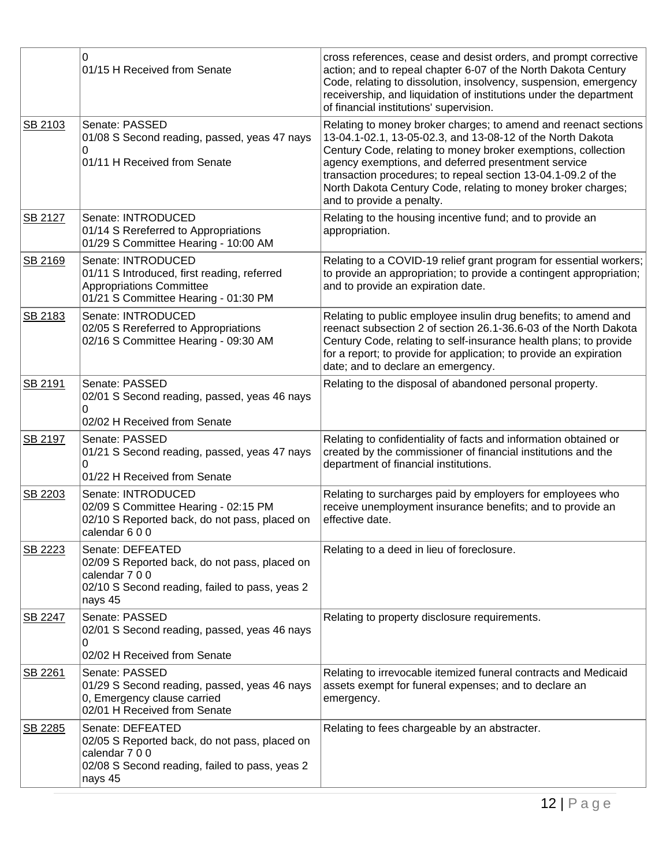|         | 0<br>01/15 H Received from Senate                                                                                                                | cross references, cease and desist orders, and prompt corrective<br>action; and to repeal chapter 6-07 of the North Dakota Century<br>Code, relating to dissolution, insolvency, suspension, emergency<br>receivership, and liquidation of institutions under the department<br>of financial institutions' supervision.                                                                                             |
|---------|--------------------------------------------------------------------------------------------------------------------------------------------------|---------------------------------------------------------------------------------------------------------------------------------------------------------------------------------------------------------------------------------------------------------------------------------------------------------------------------------------------------------------------------------------------------------------------|
| SB 2103 | Senate: PASSED<br>01/08 S Second reading, passed, yeas 47 nays<br>0<br>01/11 H Received from Senate                                              | Relating to money broker charges; to amend and reenact sections<br>13-04.1-02.1, 13-05-02.3, and 13-08-12 of the North Dakota<br>Century Code, relating to money broker exemptions, collection<br>agency exemptions, and deferred presentment service<br>transaction procedures; to repeal section 13-04.1-09.2 of the<br>North Dakota Century Code, relating to money broker charges;<br>and to provide a penalty. |
| SB 2127 | Senate: INTRODUCED<br>01/14 S Rereferred to Appropriations<br>01/29 S Committee Hearing - 10:00 AM                                               | Relating to the housing incentive fund; and to provide an<br>appropriation.                                                                                                                                                                                                                                                                                                                                         |
| SB 2169 | Senate: INTRODUCED<br>01/11 S Introduced, first reading, referred<br><b>Appropriations Committee</b><br>01/21 S Committee Hearing - 01:30 PM     | Relating to a COVID-19 relief grant program for essential workers;<br>to provide an appropriation; to provide a contingent appropriation;<br>and to provide an expiration date.                                                                                                                                                                                                                                     |
| SB 2183 | Senate: INTRODUCED<br>02/05 S Rereferred to Appropriations<br>02/16 S Committee Hearing - 09:30 AM                                               | Relating to public employee insulin drug benefits; to amend and<br>reenact subsection 2 of section 26.1-36.6-03 of the North Dakota<br>Century Code, relating to self-insurance health plans; to provide<br>for a report; to provide for application; to provide an expiration<br>date; and to declare an emergency.                                                                                                |
| SB 2191 | Senate: PASSED<br>02/01 S Second reading, passed, yeas 46 nays<br>0<br>02/02 H Received from Senate                                              | Relating to the disposal of abandoned personal property.                                                                                                                                                                                                                                                                                                                                                            |
| SB 2197 | Senate: PASSED<br>01/21 S Second reading, passed, yeas 47 nays<br>0<br>01/22 H Received from Senate                                              | Relating to confidentiality of facts and information obtained or<br>created by the commissioner of financial institutions and the<br>department of financial institutions.                                                                                                                                                                                                                                          |
| SB 2203 | Senate: INTRODUCED<br>02/09 S Committee Hearing - 02:15 PM<br>02/10 S Reported back, do not pass, placed on<br>calendar 600                      | Relating to surcharges paid by employers for employees who<br>receive unemployment insurance benefits; and to provide an<br>effective date.                                                                                                                                                                                                                                                                         |
| SB 2223 | Senate: DEFEATED<br>02/09 S Reported back, do not pass, placed on<br>calendar 7 0 0<br>02/10 S Second reading, failed to pass, yeas 2<br>nays 45 | Relating to a deed in lieu of foreclosure.                                                                                                                                                                                                                                                                                                                                                                          |
| SB 2247 | Senate: PASSED<br>02/01 S Second reading, passed, yeas 46 nays<br>0<br>02/02 H Received from Senate                                              | Relating to property disclosure requirements.                                                                                                                                                                                                                                                                                                                                                                       |
| SB 2261 | Senate: PASSED<br>01/29 S Second reading, passed, yeas 46 nays<br>0, Emergency clause carried<br>02/01 H Received from Senate                    | Relating to irrevocable itemized funeral contracts and Medicaid<br>assets exempt for funeral expenses; and to declare an<br>emergency.                                                                                                                                                                                                                                                                              |
| SB 2285 | Senate: DEFEATED<br>02/05 S Reported back, do not pass, placed on<br>calendar 7 0 0<br>02/08 S Second reading, failed to pass, yeas 2<br>nays 45 | Relating to fees chargeable by an abstracter.                                                                                                                                                                                                                                                                                                                                                                       |